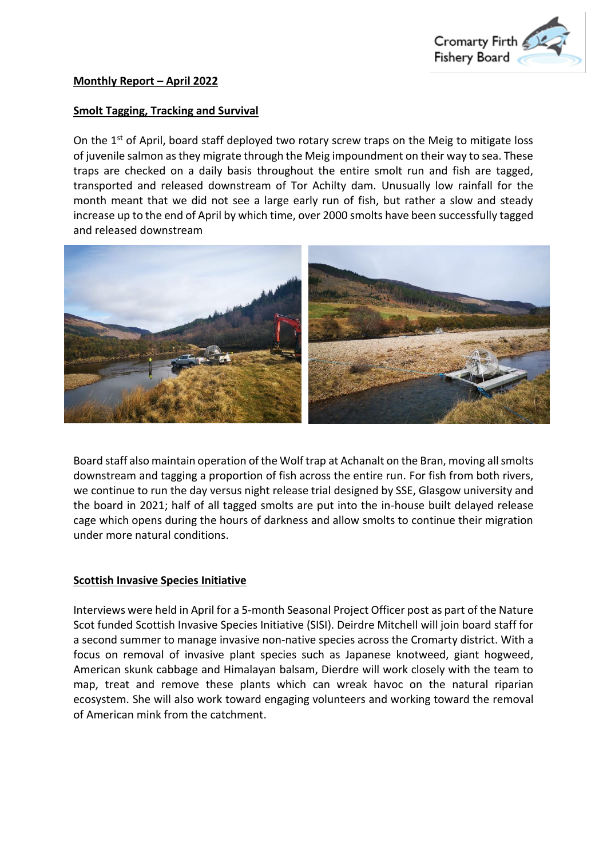

## **Smolt Tagging, Tracking and Survival**

On the 1<sup>st</sup> of April, board staff deployed two rotary screw traps on the Meig to mitigate loss of juvenile salmon as they migrate through the Meig impoundment on their way to sea. These traps are checked on a daily basis throughout the entire smolt run and fish are tagged, transported and released downstream of Tor Achilty dam. Unusually low rainfall for the month meant that we did not see a large early run of fish, but rather a slow and steady increase up to the end of April by which time, over 2000 smolts have been successfully tagged and released downstream



Board staff also maintain operation of the Wolf trap at Achanalt on the Bran, moving all smolts downstream and tagging a proportion of fish across the entire run. For fish from both rivers, we continue to run the day versus night release trial designed by SSE, Glasgow university and the board in 2021; half of all tagged smolts are put into the in-house built delayed release cage which opens during the hours of darkness and allow smolts to continue their migration under more natural conditions.

## **Scottish Invasive Species Initiative**

Interviews were held in April for a 5-month Seasonal Project Officer post as part of the Nature Scot funded Scottish Invasive Species Initiative (SISI). Deirdre Mitchell will join board staff for a second summer to manage invasive non-native species across the Cromarty district. With a focus on removal of invasive plant species such as Japanese knotweed, giant hogweed, American skunk cabbage and Himalayan balsam, Dierdre will work closely with the team to map, treat and remove these plants which can wreak havoc on the natural riparian ecosystem. She will also work toward engaging volunteers and working toward the removal of American mink from the catchment.